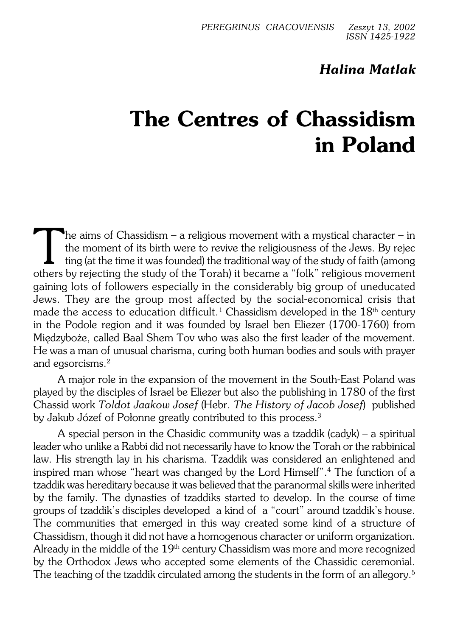# *Halina Matlak*

# **The Centres of Chassidism in Poland**

The aims of Chassidism – a religious movement with a mystical character – in<br>the moment of its birth were to revive the religiousness of the Jews. By rejecting<br>(at the time it was founded) the traditional way of the study he aims of Chassidism – a religious movement with a mystical character – in the moment of its birth were to revive the religiousness of the Jews. By rejec ting (at the time it was founded) the traditional way of the study of faith (among gaining lots of followers especially in the considerably big group of uneducated Jews. They are the group most affected by the social−economical crisis that made the access to education difficult. $^{\rm 1}$  Chassidism developed in the  $18^{\rm th}$  century in the Podole region and it was founded by Israel ben Eliezer (1700−1760) from Międzyboże, called Baal Shem Tov who was also the first leader of the movement. He was a man of unusual charisma, curing both human bodies and souls with prayer and egsorcisms.<sup>2</sup>

A major role in the expansion of the movement in the South−East Poland was played by the disciples of Israel be Eliezer but also the publishing in 1780 of the first Chassid work *Toldot Jaakow Josef* (Hebr. *The History of Jacob Josef*) published by Jakub Józef of Połonne greatly contributed to this process.<sup>3</sup>

A special person in the Chasidic community was a tzaddik (cadyk) – a spiritual leader who unlike a Rabbi did not necessarily have to know the Torah or the rabbinical law. His strength lay in his charisma. Tzaddik was considered an enlightened and inspired man whose "heart was changed by the Lord Himself".<sup>4</sup> The function of a tzaddik was hereditary because it was believed that the paranormal skills were inherited by the family. The dynasties of tzaddiks started to develop. In the course of time groups of tzaddik's disciples developed a kind of a "court" around tzaddik's house. The communities that emerged in this way created some kind of a structure of Chassidism, though it did not have a homogenous character or uniform organization. Already in the middle of the  $19<sup>th</sup>$  century Chassidism was more and more recognized by the Orthodox Jews who accepted some elements of the Chassidic ceremonial. The teaching of the tzaddik circulated among the students in the form of an allegory.<sup>5</sup>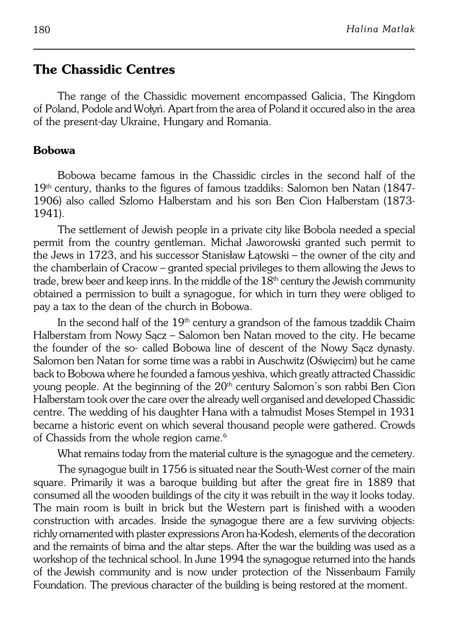# **The Chassidic Centres**

The range of the Chassidic movement encompassed Galicia, The Kingdom of Poland, Podole and Wołyń. Apart from the area of Poland it occured also in the area of the present−day Ukraine, Hungary and Romania.

#### **Bobowa**

Bobowa became famous in the Chassidic circles in the second half of the 19<sup>th</sup> century, thanks to the figures of famous tzaddiks: Salomon ben Natan (1847− 1906) also called Szlomo Halberstam and his son Ben Cion Halberstam (1873− 1941).

The settlement of Jewish people in a private city like Bobola needed a special permit from the country gentleman. Michał Jaworowski granted such permit to the Jews in 1723, and his successor Stanisław Łatowski – the owner of the city and the chamberlain of Cracow – granted special privileges to them allowing the Jews to trade, brew beer and keep inns. In the middle of the  $18<sup>th</sup>$  century the Jewish community obtained a permission to built a synagogue, for which in turn they were obliged to pay a tax to the dean of the church in Bobowa.

In the second half of the 19<sup>th</sup> century a grandson of the famous tzaddik Chaim Halberstam from Nowy Sącz – Salomon ben Natan moved to the city. He became the founder of the so− called Bobowa line of descent of the Nowy Sącz dynasty. Salomon ben Natan for some time was a rabbi in Auschwitz (Oświęcim) but he came back to Bobowa where he founded a famous yeshiva, which greatly attracted Chassidic young people. At the beginning of the  $20<sup>th</sup>$  century Salomon's son rabbi Ben Cion Halberstam took over the care over the already well organised and developed Chassidic centre. The wedding of his daughter Hana with a talmudist Moses Stempel in 1931 became a historic event on which several thousand people were gathered. Crowds of Chassids from the whole region came.<sup>6</sup>

What remains today from the material culture is the synagogue and the cemetery.

The synagogue built in 1756 is situated near the South-West corner of the main square. Primarily it was a baroque building but after the great fire in 1889 that consumed all the wooden buildings of the city it was rebuilt in the way it looks today. The main room is built in brick but the Western part is finished with a wooden construction with arcades. Inside the synagogue there are a few surviving objects: richly ornamented with plaster expressions Aron ha−Kodesh, elements of the decoration and the remaints of bima and the altar steps. After the war the building was used as a workshop of the technical school. In June 1994 the synagogue returned into the hands of the Jewish community and is now under protection of the Nissenbaum Family Foundation. The previous character of the building is being restored at the moment.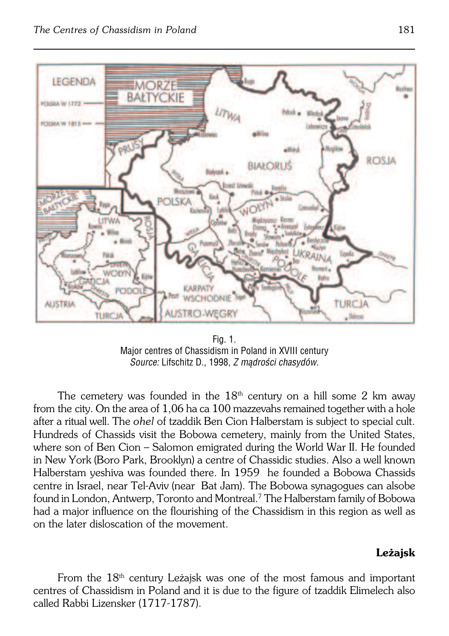

Fig. 1. Major centres of Chassidism in Poland in XVIII century *Source:* Lifschitz D., 1998, *Z mądrości chasydów.*

The cemetery was founded in the  $18<sup>th</sup>$  century on a hill some 2 km away from the city. On the area of 1,06 ha ca 100 mazzevahs remained together with a hole after a ritual well. The *ohel* of tzaddik Ben Cion Halberstam is subject to special cult. Hundreds of Chassids visit the Bobowa cemetery, mainly from the United States, where son of Ben Cion – Salomon emigrated during the World War II. He founded in New York (Boro Park, Brooklyn) a centre of Chassidic studies. Also a well known Halberstam yeshiva was founded there. In 1959 he founded a Bobowa Chassids centre in Israel, near Tel-Aviv (near Bat Jam). The Bobowa synagogues can alsobe found in London, Antwerp, Toronto and Montreal.<sup>7</sup> The Halberstam family of Bobowa had a major influence on the flourishing of the Chassidism in this region as well as onthe later disloscation of the movement.

### **Leżajsk**

From the  $18<sup>th</sup>$  century Leżajsk was one of the most famous and important centres of Chassidism in Poland and it is due to the figure of tzaddik Elimelech also called Rabbi Lizensker (1717−1787).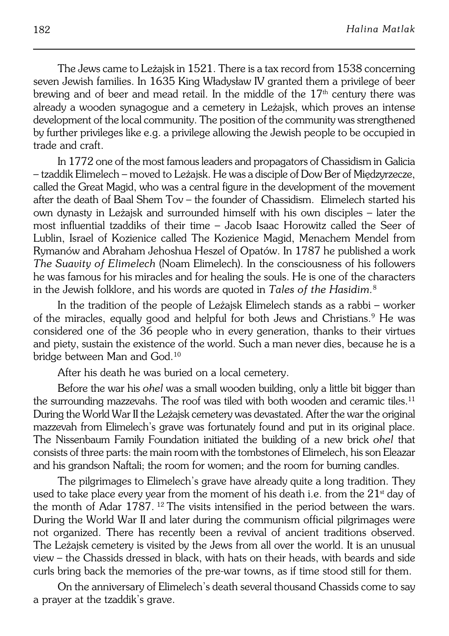The Jews came to Leżajsk in 1521. There is a tax record from 1538 concerning seven Jewish families. In 1635 King Władysław IV granted them a privilege of beer brewing and of beer and mead retail. In the middle of the  $17<sup>th</sup>$  century there was already a wooden synagogue and a cemetery in Leżajsk, which proves an intense development of the local community. The position of the community was strengthened by further privileges like e.g. a privilege allowing the Jewish people to be occupied in trade and craft.

In 1772 one of the most famous leaders and propagators of Chassidism inGalicia – tzaddik Elimelech – moved to Leżajsk. He was a disciple of Dow Ber of Międzyrzecze, called the Great Magid, who was a central figure in the development of the movement after the death of Baal Shem Tov – the founder of Chassidism. Elimelech started his own dynasty in Leżajsk and surrounded himself with his own disciples – later the most influential tzaddiks of their time – Jacob Isaac Horowitz called the Seer of Lublin, Israel of Kozienice called The Kozienice Magid, Menachem Mendel from Rymanów and Abraham Jehoshua Heszel of Opatów. In 1787 he published a work *The Suavity of Elimelech* (Noam Elimelech). In the consciousness of his followers he was famous for his miracles and for healing the souls. He is one of the characters in the Jewish folklore, and his words are quoted in *Tales of the Hasidim*.<sup>8</sup>

In the tradition of the people of Leżajsk Elimelech stands as a rabbi – worker of the miracles, equally good and helpful for both Jews and Christians.<sup>9</sup> He was considered one of the 36 people who in every generation, thanks to their virtues and piety, sustain the existence of the world. Such a man never dies, because he is a bridge between Man and God.<sup>10</sup>

After his death he was buried on a local cemetery.

Before the war his *ohel* was a small wooden building, only a little bit bigger than the surrounding mazzevahs. The roof was tiled with both wooden and ceramic tiles.<sup>11</sup> During the World War II the Leżajsk cemetery was devastated. After the war the original mazzevah from Elimelech's grave was fortunately found and put in its original place. The Nissenbaum Family Foundation initiated the building of a new brick *ohel* that consists of three parts: the main room with the tombstones of Elimelech, his son Eleazar and his grandson Naftali; the room for women; and the room for burning candles.

The pilgrimages to Elimelech's grave have already quite a long tradition. They used to take place every year from the moment of his death i.e. from the  $21<sup>st</sup>$  day of the month of Adar  $1787$ . <sup>12</sup> The visits intensified in the period between the wars. During the World War II and later during the communism official pilgrimages were not organized. There has recently been a revival of ancient traditions observed. The Leżajsk cemetery is visited by the Jews from all over the world. It is an unusual view – the Chassids dressed in black, with hats on their heads, with beards and side curls bring back the memories of the pre−war towns, as if time stood still for them.

On the anniversary of Elimelech's death several thousand Chassids come to say a prayer at the tzaddik's grave.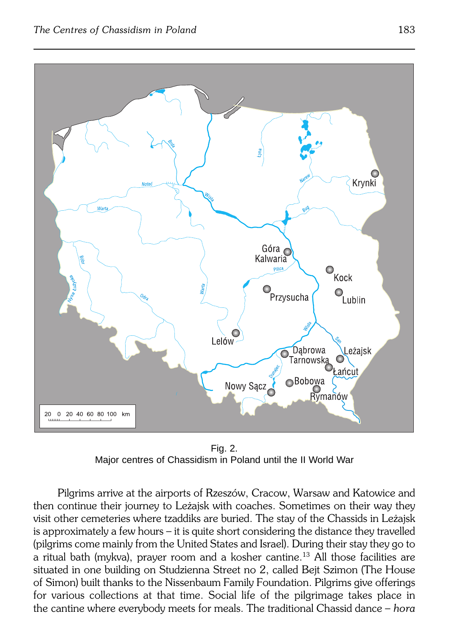

Fig. 2. Major centres of Chassidism in Poland until the II World War

Pilgrims arrive at the airports of Rzeszów, Cracow, Warsaw and Katowice and then continue their journey to Leżajsk with coaches. Sometimes on their way they visit other cemeteries where tzaddiks are buried. The stay of the Chassids in Leżajsk is approximately a few hours – it is quite short considering the distance they travelled (pilgrims come mainly from the United States and Israel). During their stay they go to a ritual bath (mykva), prayer room and a kosher cantine.13 All those facilities are situated in one building on Studzienna Street no 2, called Bejt Szimon (The House of Simon) built thanks to the Nissenbaum Family Foundation. Pilgrims give offerings for various collections at that time. Social life of the pilgrimage takes place in the cantine where everybody meets for meals. The traditional Chassid dance – *hora*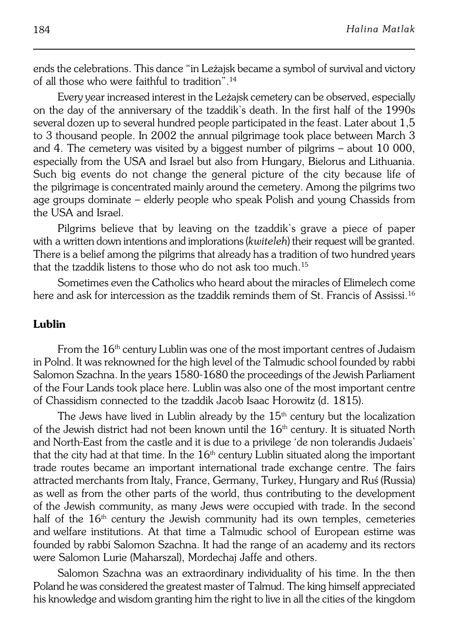ends the celebrations. This dance "in Leżajsk became a symbol of survival and victory of all those who were faithful to tradition".<sup>14</sup>

Every year increased interest in the Leżajsk cemetery can be observed, especially on the day of the anniversary of the tzaddik's death. In the first half of the1990s several dozen up to several hundred people participated in the feast. Later about 1,5 to 3 thousand people. In 2002 the annual pilgrimage took place between March 3 and 4. The cemetery was visited by a biggest number of pilgrims – about 10 000, especially from the USA and Israel but also from Hungary, Bielorus and Lithuania. Such big events do not change the general picture of the city because life of the pilgrimage is concentrated mainly around the cemetery. Among the pilgrims two age groups dominate – elderly people who speak Polish and young Chassids from the USA and Israel.

Pilgrims believe that by leaving on the tzaddik's grave a piece of paper with a written down intentions and implorations (*kwiteleh*) their request will be granted. There is a belief among the pilgrims that already has a tradition of two hundred years that the tzaddik listens to those who do not ask too much.<sup>15</sup>

Sometimes even the Catholics who heard about the miracles of Elimelech come here and ask for intercession as the tzaddik reminds them of St. Francis of Assissi.<sup>16</sup>

### **Lublin**

From the 16<sup>th</sup> century Lublin was one of the most important centres of Judaism in Polnd. It was reknowned for the high level of the Talmudic school founded byrabbi Salomon Szachna. In the years 1580−1680 the proceedings of the Jewish Parliament of the Four Lands took place here. Lublin was also one of the most important centre of Chassidism connected to the tzaddik Jacob Isaac Horowitz (d. 1815).

The Jews have lived in Lublin already by the  $15<sup>th</sup>$  century but the localization of the Jewish district had not been known until the  $16<sup>th</sup>$  century. It is situated North and North−East from the castle and it is due to a privilege 'de non tolerandis Judaeis' that the city had at that time. In the  $16<sup>th</sup>$  century Lublin situated along the important trade routes became an important international trade exchange centre. The fairs attracted merchants from Italy, France, Germany, Turkey, Hungary and Ruś (Russia) as well as from the other parts of the world, thus contributing to the development ofthe Jewish community, as many Jews were occupied with trade. In the second half of the 16<sup>th</sup> century the Jewish community had its own temples, cemeteries andwelfare institutions. At that time a Talmudic school of European estime was founded by rabbi Salomon Szachna. It had the range of an academy and its rectors were Salomon Lurie (Maharszal), Mordechaj Jaffe and others.

Salomon Szachna was an extraordinary individuality of his time. In the then Poland he was considered the greatest master of Talmud. The king himself appreciated his knowledge and wisdom granting him the right to live in all the cities of the kingdom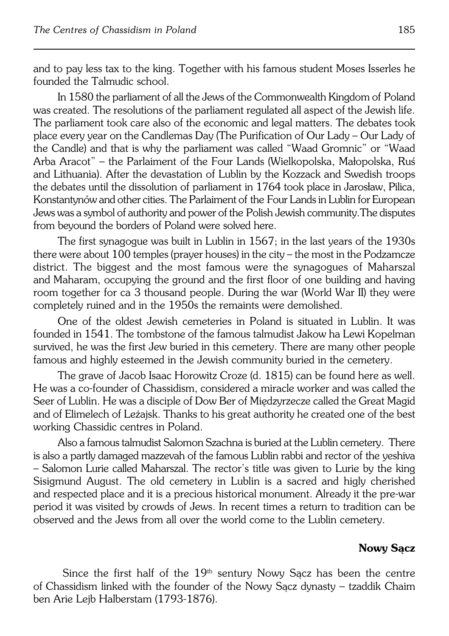and to pay less tax to the king. Together with his famous student Moses Isserles he founded the Talmudic school.

In 1580 the parliament of all the Jews of the Commonwealth Kingdom of Poland was created. The resolutions of the parliament regulated all aspect of the Jewish life. The parliament took care also of the economic and legal matters. The debates took place every year on the Candlemas Day (The Purification of Our Lady – Our Lady of the Candle) and that is why the parliament was called "Waad Gromnic" or "Waad Arba Aracot" – the Parlaiment of the Four Lands (Wielkopolska, Małopolska, Ruś and Lithuania). After the devastation of Lublin by the Kozzack and Swedish troops the debates until the dissolution of parliament in1764 took place in Jarosław, Pilica, Konstantynów and other cities. The Parlaiment of the Four Lands in Lublin for European Jews was a symbol of authority and power of the Polish Jewish community. The disputes from beyound the borders of Poland were solved here.

The first synagogue was built in Lublin in 1567; in the last years of the 1930s there were about 100 temples (prayer houses) in the city – the most in the Podzamcze district. The biggest and the most famous were the synagogues of Maharszal and Maharam, occupying the ground and the first floor of one building and having room together for ca 3 thousand people. During the war (World War II) they were completely ruined and in the 1950s the remaints were demolished.

One of the oldest Jewish cemeteries in Poland is situated in Lublin. It was founded in 1541. The tombstone of the famous talmudist Jakow ha Lewi Kopelman survived, he was the first Jew buried in this cemetery. There are many other people famous and highly esteemed in the Jewish community buried in the cemetery.

The grave of Jacob Isaac Horowitz Croze (d. 1815) can be found here as well. He was a co−founder of Chassidism, considered a miracle worker and was called the Seer of Lublin. He was a disciple of Dow Ber of Międzyrzecze called the Great Magid and of Elimelech of Leżajsk. Thanks to his great authority he created one of the best working Chassidic centres in Poland.

Also a famous talmudist Salomon Szachna is buried at the Lublin cemetery. There is also a partly damaged mazzevah of the famous Lublin rabbi and rector of the yeshiva – Salomon Lurie called Maharszal. The rector's title was given to Lurie by the king Sisigmund August. The old cemetery in Lublin is a sacred and higly cherished and respected place and it is a precious historical monument. Already it the pre-war period it was visited by crowds of Jews. In recent times a return to tradition can be observed and the Jews from all over the world come to the Lublin cemetery.

#### **Nowy Sącz**

Since the first half of the  $19<sup>th</sup>$  sentury Nowy Sacz has been the centre ofChassidism linked with the founder of the Nowy Sącz dynasty – tzaddik Chaim ben Arie Lejb Halberstam (1793−1876).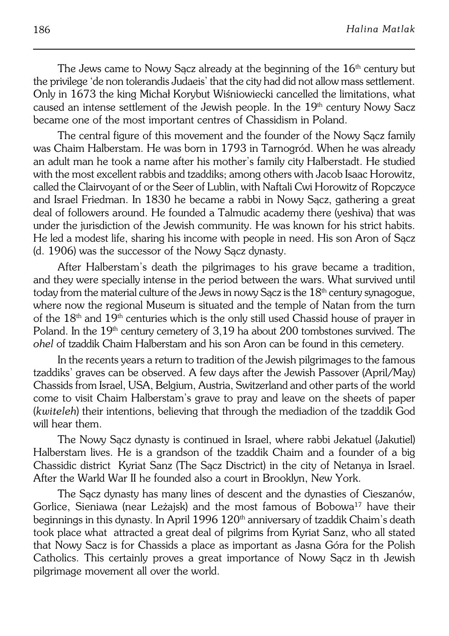The Jews came to Nowy Sacz already at the beginning of the  $16<sup>th</sup>$  century but the privilege 'de non tolerandis Judaeis' that the city had did not allow mass settlement. Only in 1673 the king Michał Korybut Wiśniowiecki cancelled the limitations, what caused an intense settlement of the Jewish people. In the 19<sup>th</sup> century Nowy Sacz became one of the most important centres of Chassidism in Poland.

The central figure of this movement and the founder of the Nowy Sącz family was Chaim Halberstam. He was born in 1793 in Tarnogród. When he was already an adult man he took a name after his mother's family city Halberstadt. He studied with the most excellent rabbis and tzaddiks; among others with Jacob Isaac Horowitz, called the Clairvoyant of or the Seer of Lublin, with Naftali Cwi Horowitz of Ropczyce and Israel Friedman. In 1830 he became a rabbi in Nowy Sącz, gathering a great deal of followers around. He founded a Talmudic academy there (yeshiva) that was under the jurisdiction of the Jewish community. He was known for his strict habits. He led a modest life, sharing his income with people in need. His son Aron of Sącz (d. 1906) was the successor of the Nowy Sącz dynasty.

After Halberstam's death the pilgrimages to his grave became a tradition, and they were specially intense in the period between the wars. What survived until today from the material culture of the Jews in nowy Sacz is the 18<sup>th</sup> century synagogue, where now the regional Museum is situated and the temple of Natan from the turn of the  $18<sup>th</sup>$  and  $19<sup>th</sup>$  centuries which is the only still used Chassid house of prayer in Poland. In the 19<sup>th</sup> century cemetery of 3,19 ha about 200 tombstones survived. The *ohel* of tzaddik Chaim Halberstam and his son Aron can be found in this cemetery.

In the recents years a return to tradition of the Jewish pilgrimages to the famous tzaddiks' graves can be observed. A few days after the Jewish Passover (April/May) Chassids from Israel, USA, Belgium, Austria, Switzerland and other parts oftheworld come to visit Chaim Halberstam's grave to pray and leave on the sheets of paper (*kwiteleh*) their intentions, believing that through the mediadion of the tzaddik God will hear them.

The Nowy Sącz dynasty is continued in Israel, where rabbi Jekatuel (Jakutiel) Halberstam lives. He is a grandson of the tzaddik Chaim and a founder of a big Chassidic district Kyriat Sanz (The Sącz Disctrict) in the city of Netanya in Israel. After the Warld War II he founded also a court in Brooklyn, New York.

The Sacz dynasty has many lines of descent and the dynasties of Cieszanów, Gorlice, Sieniawa (near Leżajsk) and the most famous of Bobowa<sup>17</sup> have their beginnings in this dynasty. In April 1996 120<sup>th</sup> anniversary of tzaddik Chaim's death took place what attracted a great deal of pilgrims from Kyriat Sanz, who all stated that Nowy Sacz is for Chassids a place as important as Jasna Góra for the Polish Catholics. This certainly proves a great importance of Nowy Sącz in th Jewish pilgrimage movement all over the world.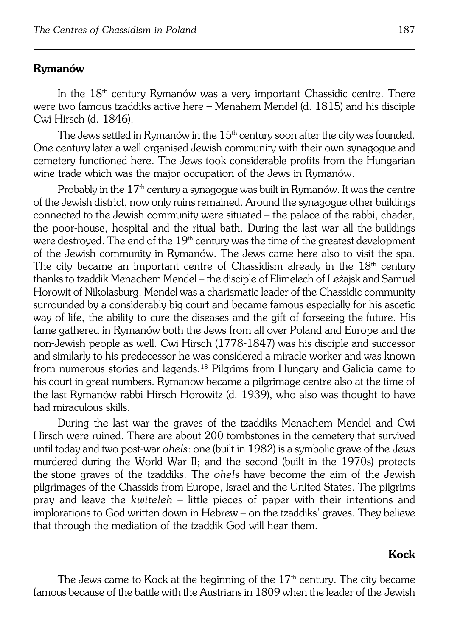#### **Rymanów**

In the 18th century Rymanów was a very important Chassidic centre. There were two famous tzaddiks active here – Menahem Mendel (d. 1815) and his disciple Cwi Hirsch (d. 1846).

The Jews settled in Rymanów in the  $15<sup>th</sup>$  century soon after the city was founded. One century later a well organised Jewish community with their own synagogue and cemetery functioned here. The Jews took considerable profits from the Hungarian wine trade which was the major occupation of the Jews in Rymanów.

Probably in the 17<sup>th</sup> century a synagogue was built in Rymanów. It was the centre of the Jewish district, now only ruins remained. Around the synagogue other buildings connected to the Jewish community were situated – the palace of the rabbi, chader, the poor-house, hospital and the ritual bath. During the last war all the buildings were destroyed. The end of the 19<sup>th</sup> century was the time of the greatest development of the Jewish community in Rymanów. The Jews came here also to visit the spa. The city became an important centre of Chassidism already in the  $18<sup>th</sup>$  century thanks to tzaddik Menachem Mendel – the disciple of Elimelech of Leżajsk and Samuel Horowit of Nikolasburg. Mendel was a charismatic leader of the Chassidic community surrounded by a considerably big court and became famous especially for his ascetic way of life, the ability to cure the diseases and the gift of forseeing the future. His fame gathered in Rymanów both the Jews from all over Poland and Europe and the non−Jewish people as well. Cwi Hirsch (1778−1847) was his disciple and successor and similarly to his predecessor he was considered a miracle worker and was known from numerous stories and legends.<sup>18</sup> Pilgrims from Hungary and Galicia came to his court in great numbers. Rymanow became a pilgrimage centre also at the time of the last Rymanów rabbi Hirsch Horowitz (d. 1939), who also was thought to have had miraculous skills.

During the last war the graves of the tzaddiks Menachem Mendel and Cwi Hirsch were ruined. There are about 200 tombstones in the cemetery that survived until today and two post−war *ohels*: one (built in 1982) is a symbolic grave of theJews murdered during the World War II; and the second (built in the 1970s) protects thestone graves of the tzaddiks. The *ohel*s have become the aim of the Jewish pilgrimages of the Chassids from Europe, Israel and the United States. The pilgrims pray and leave the *kwiteleh* – little pieces of paper with their intentions and implorations to God written down in Hebrew – on the tzaddiks' graves. They believe that through the mediation of the tzaddik God will hear them.

#### **Kock**

The Jews came to Kock at the beginning of the  $17<sup>th</sup>$  century. The city became famous because of the battle with the Austrians in 1809 when the leader of the Jewish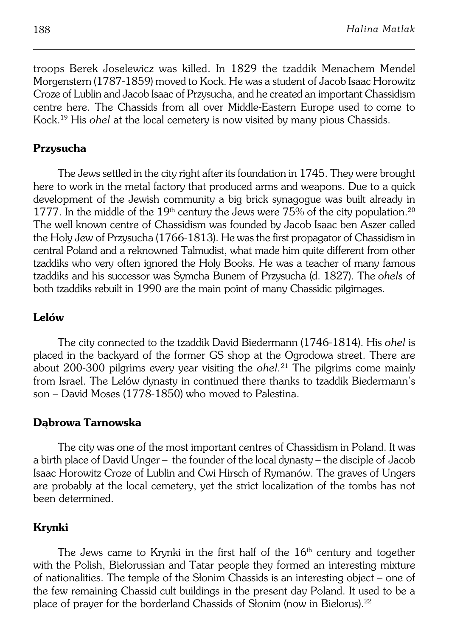troops Berek Joselewicz was killed. In 1829 the tzaddik Menachem Mendel Morgenstern (1787−1859) moved to Kock. He was a student of Jacob Isaac Horowitz Croze of Lublin and Jacob Isaac of Przysucha, and he created an important Chassidism centre here. The Chassids from all over Middle−Eastern Europe used tocome to Kock.19 His *ohel* at the local cemetery is now visited by many pious Chassids.

#### **Przysucha**

The Jews settled in the city right after its foundation in 1745. They were brought here to work in the metal factory that produced arms and weapons. Due to a quick development of the Jewish community a big brick synagogue was built already in 1777. In the middle of the 19<sup>th</sup> century the Jews were 75% of the city population.<sup>20</sup> The well known centre of Chassidism was founded by Jacob Isaac ben Aszer called the Holy Jew of Przysucha (1766−1813). He was the first propagator of Chassidism in central Poland and a reknowned Talmudist, what made him quite different from other tzaddiks who very often ignored the Holy Books. He was a teacher of many famous tzaddiks and his successor was Symcha Bunem of Przysucha (d.1827). The*ohels* of both tzaddiks rebuilt in 1990 are the main point of many Chassidic pilgimages.

#### **Lelów**

The city connected to the tzaddik David Biedermann (1746−1814). His *ohel* is placed in the backyard of the former GS shop at the Ogrodowa street. There are about 200−300 pilgrims every year visiting the *ohel.*21 The pilgrims come mainly from Israel. The Lelów dynasty in continued there thanks to tzaddik Biedermann's son – David Moses (1778−1850) who moved to Palestina.

#### **Dąbrowa Tarnowska**

The city was one of the most important centres of Chassidism in Poland. It was a birth place of David Unger – the founder of the local dynasty – the disciple of Jacob Isaac Horowitz Croze of Lublin and Cwi Hirsch of Rymanów. The graves ofUngers are probably at the local cemetery, yet the strict localization of the tombs has not been determined.

#### **Krynki**

The Jews came to Krynki in the first half of the  $16<sup>th</sup>$  century and together with the Polish, Bielorussian and Tatar people they formed an interesting mixture ofnationalities. The temple of the Słonim Chassids is an interesting object – one of the few remaining Chassid cult buildings in the present day Poland. It used to be a place of prayer for the borderland Chassids of Słonim (now in Bielorus).<sup>22</sup>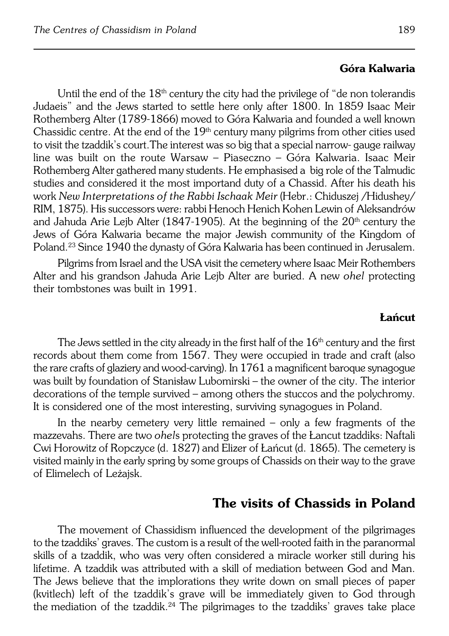#### **Góra Kalwaria**

Until the end of the  $18<sup>th</sup>$  century the city had the privilege of "de non tolerandis" Judaeis" and the Jews started to settle here only after 1800. In 1859 Isaac Meir Rothemberg Alter (1789−1866) moved to Góra Kalwaria and founded a well known Chassidic centre. At the end of the  $19<sup>th</sup>$  century many pilgrims from other cities used to visit the tzaddik's court.The interest was so big that a special narrow− gauge railway line was built on the route Warsaw – Piaseczno – Góra Kalwaria. Isaac Meir Rothemberg Alter gathered many students. He emphasised a big role of the Talmudic studies and considered it the most importand duty of a Chassid. After his death his work *New Interpretations of the Rabbi Ischaak Meir* (Hebr.: Chiduszej /Hidushey/ RIM, 1875). His successors were: rabbi Henoch Henich Kohen Lewin of Aleksandrów and Jahuda Arie Leib Alter (1847-1905). At the beginning of the 20<sup>th</sup> century the Jews of Góra Kalwaria became the major Jewish community of the Kingdom of Poland.<sup>23</sup> Since 1940 the dynasty of Góra Kalwaria has been continued in Jerusalem.

Pilgrims from Israel and the USA visit the cemetery where Isaac Meir Rothembers Alter and his grandson Jahuda Arie Lejb Alter are buried. A new *ohel* protecting their tombstones was built in 1991.

#### **Łańcut**

The Jews settled in the city already in the first half of the  $16<sup>th</sup>$  century and the first records about them come from 1567. They were occupied in trade and craft (also the rare crafts of glaziery and wood−carving). In 1761 a magnificent baroque synagogue was built by foundation of Stanisław Lubomirski – the owner of the city. The interior decorations of the temple survived – among others the stuccos and the polychromy. It is considered one of the most interesting, surviving synagogues in Poland.

In the nearby cemetery very little remained – only a few fragments of the mazzevahs. There are two *ohel*s protecting the graves of the Łancut tzaddiks: Naftali Cwi Horowitz of Ropczyce (d. 1827) and Elizer of Łańcut (d. 1865). The cemetery is visited mainly in the early spring by some groups of Chassids on their way to the grave of Elimelech of Leżajsk.

## **The visits of Chassids in Poland**

The movement of Chassidism influenced the development of the pilgrimages to the tzaddiks' graves. The custom is a result of the well−rooted faith in the paranormal skills of a tzaddik, who was very often considered a miracle worker still during his lifetime. A tzaddik was attributed with a skill of mediation between God and Man. The Jews believe that the implorations they write down on small pieces of paper (kvitlech) left of the tzaddik's grave will be immediately given to God through the mediation of the tzaddik.<sup>24</sup> The pilgrimages to the tzaddiks' graves take place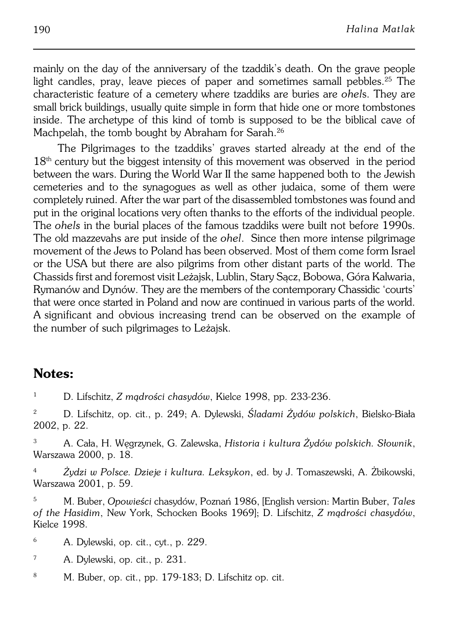mainly on the day of the anniversary of the tzaddik's death. On the grave people light candles, pray, leave pieces of paper and sometimes samall pebbles.25 The characteristic feature of a cemetery where tzaddiks are buries are *ohel*s. They are small brick buildings, usually quite simple in form that hide one or more tombstones inside. The archetype of this kind of tomb is supposed to be the biblical cave of Machpelah, the tomb bought by Abraham for Sarah.<sup>26</sup>

The Pilgrimages to the tzaddiks' graves started already at the end of the  $18<sup>th</sup>$  century but the biggest intensity of this movement was observed in the period between the wars. During the World War II the same happened both to the Jewish cemeteries and to the synagogues as well as other judaica, some of them were completely ruined. After the war part of the disassembled tombstones was found and put in the original locations very often thanks to the efforts of the individual people. The *ohels* inthe burial places of the famous tzaddiks were built not before 1990s. The old mazzevahs are put inside of the *ohel*. Since then more intense pilgrimage movement of the Jews to Poland has been observed. Most of them come form Israel or the USA but there are also pilgrims from other distant parts of the world. The Chassids first and foremost visit Leżajsk, Lublin, Stary Sącz, Bobowa, Góra Kalwaria, Rymanów and Dynów. They are the members of the contemporary Chassidic 'courts' that were once started in Poland and now are continued in various parts of the world. Asignificant and obvious increasing trend can be observed on the example of the number of such pilgrimages to Leżajsk.

# **Notes:**

<sup>1</sup> D. Lifschitz, *Z mądrości chasydów*, Kielce 1998, pp. 233−236.

<sup>2</sup> D. Lifschitz, op. cit., p. 249; A. Dylewski, *Śladami Żydów polskich*, Bielsko−Biała 2002, p. 22.

<sup>3</sup> A. Cała, H. Węgrzynek, G. Zalewska, *Historia i kultura Żydów polskich. Słownik*, Warszawa 2000, p. 18.

<sup>4</sup> *Żydzi w Polsce. Dzieje i kultura. Leksykon*, ed. by J. Tomaszewski, A. Żbikowski, Warszawa 2001, p. 59.

<sup>5</sup> M. Buber, *Opowieści* chasydów, Poznań 1986, [English version: Martin Buber, *Tales of the Hasidim*, New York, Schocken Books 1969]; D. Lifschitz, *Z mądrości chasydów*, Kielce 1998.

<sup>6</sup> A. Dylewski, op. cit., cyt., p. 229.

<sup>7</sup> A. Dylewski, op. cit., p. 231.

<sup>8</sup> M. Buber, op. cit., pp. 179−183; D. Lifschitz op. cit.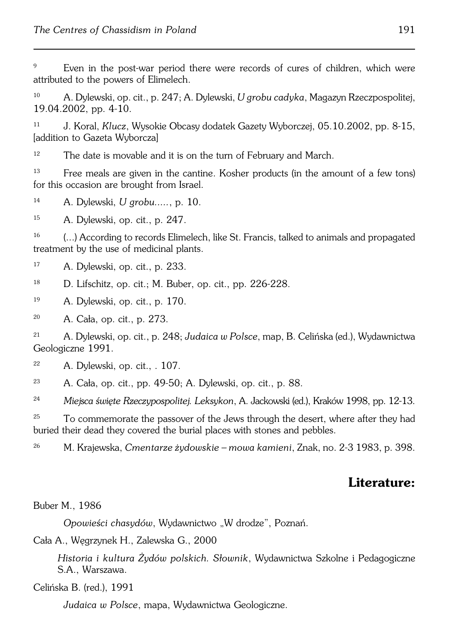<sup>9</sup> Even in the post−war period there were records of cures of children, which were attributed to the powers of Elimelech.

<sup>10</sup> A. Dylewski, op. cit., p. 247; A. Dylewski, *U grobu cadyka*, Magazyn Rzeczpospolitej, 19.04.2002, pp. 4−10.

<sup>11</sup> J. Koral, *Klucz*, Wysokie Obcasy dodatek Gazety Wyborczej, 05.10.2002, pp. 8−15, [addition to Gazeta Wyborcza]

 $12$  The date is movable and it is on the turn of February and March.

<sup>13</sup> Free meals are given in the cantine. Kosher products (in the amount of a few tons) for this occasion are brought from Israel.

<sup>14</sup> A. Dylewski, *U grobu.....*, p. 10.

<sup>15</sup> A. Dylewski, op. cit., p. 247.

<sup>16</sup> (...) According to records Elimelech, like St. Francis, talked to animals and propagated treatment by the use of medicinal plants.

- <sup>17</sup> A. Dylewski, op. cit., p. 233.
- <sup>18</sup> D. Lifschitz, op. cit.; M. Buber, op. cit., pp. 226−228.
- <sup>19</sup> A. Dylewski, op. cit., p. 170.

<sup>20</sup> A. Cała, op. cit., p. 273.

<sup>21</sup> A. Dylewski, op. cit., p. 248; *Judaica w Polsce*, map, B. Celińska (ed.), Wydawnictwa Geologiczne 1991.

<sup>22</sup> A. Dylewski, op. cit., . 107.

<sup>23</sup> A. Cała, op. cit., pp. 49−50; A. Dylewski, op. cit., p. 88.

<sup>24</sup> *Miejsca święte Rzeczypospolitej. Leksykon*, A. Jackowski (ed.), Kraków 1998, pp.12−13.

<sup>25</sup> To commemorate the passover of the Jews through the desert, where after they had buried their dead they covered the burial places with stones and pebbles.

<sup>26</sup> M. Krajewska, *Cmentarze żydowskie – mowa kamieni*, Znak, no. 2−3 1983, p. 398.

## **Literature:**

#### Buber M., 1986

*Opowieści chasydów*, Wydawnictwo "W drodze", Poznań.

Cała A., Węgrzynek H., Zalewska G., 2000

*Historia i kultura Żydów polskich. Słownik*, Wydawnictwa Szkolne i Pedagogiczne S.A., Warszawa.

Celińska B. (red.), 1991

*Judaica w Polsce*, mapa, Wydawnictwa Geologiczne.